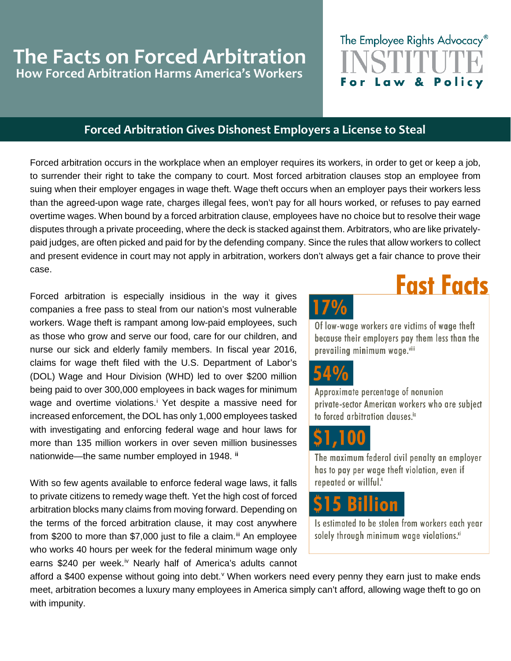## **The Facts on Forced Arbitration How Forced Arbitration Harms America's Workers**

## The Employee Rights Advocacy<sup>®</sup> Law & Policy

## **Forced Arbitration Gives Dishonest Employers a License to Steal**

Forced arbitration occurs in the workplace when an employer requires its workers, in order to get or keep a job, to surrender their right to take the company to court. Most forced arbitration clauses stop an employee from suing when their employer engages in wage theft. Wage theft occurs when an employer pays their workers less than the agreed-upon wage rate, charges illegal fees, won't pay for all hours worked, or refuses to pay earned overtime wages. When bound by a forced arbitration clause, employees have no choice but to resolve their wage disputes through a private proceeding, where the deck is stacked against them. Arbitrators, who are like privatelypaid judges, are often picked and paid for by the defending company. Since the rules that allow workers to collect and present evidence in court may not apply in arbitration, workers don't always get a fair chance to prove their case.

Forced arbitration is especially insidious in the way it gives companies a free pass to steal from our nation's most vulnerable workers. Wage theft is rampant among low-paid employees, such as those who grow and serve our food, care for our children, and nurse our sick and elderly family members. In fiscal year 2016, claims for wage theft filed with the U.S. Department of Labor's (DOL) Wage and Hour Division (WHD) led to over \$200 million being paid to over 300,000 employees in back wages for minimum wage and overt[i](#page-1-0)me violations.<sup>i</sup> Yet despite a massive need for increased enforcement, the DOL has only 1,000 employees tasked with investigating and enforcing federal wage and hour laws for more than 135 million workers in over seven million businesses nationwide—the same number employed in 1948. **[ii](#page-1-1)**

With so few agents available to enforce federal wage laws, it falls to private citizens to remedy wage theft. Yet the high cost of forced arbitration blocks many claims from moving forward. Depending on the terms of the forced arbitration clause, it may cost anywhere from \$200 to more than \$7,000 just to file a claim.<sup>[iii](#page-1-2)</sup> An employee who works 40 hours per week for the federal minimum wage only earns \$240 per week.<sup>[iv](#page-1-3)</sup> Nearly half of America's adults cannot



**Fast Facts** 

Of low-wage workers are victims of wage theft because their employers pay them less than the prevailing minimum wage.viii



Approximate percentage of nonunion private-sector American workers who are subject to forced arbitration clauses.<sup>ix</sup>



The maximum federal civil penalty an employer has to pay per wage theft violation, even if repeated or willful.<sup>x</sup>



Is estimated to be stolen from workers each year solely through minimum wage violations.xi

afford a \$400 expense without going into debt.<sup>[v](#page-1-4)</sup> When workers need every penny they earn just to make ends meet, arbitration becomes a luxury many employees in America simply can't afford, allowing wage theft to go on with impunity.